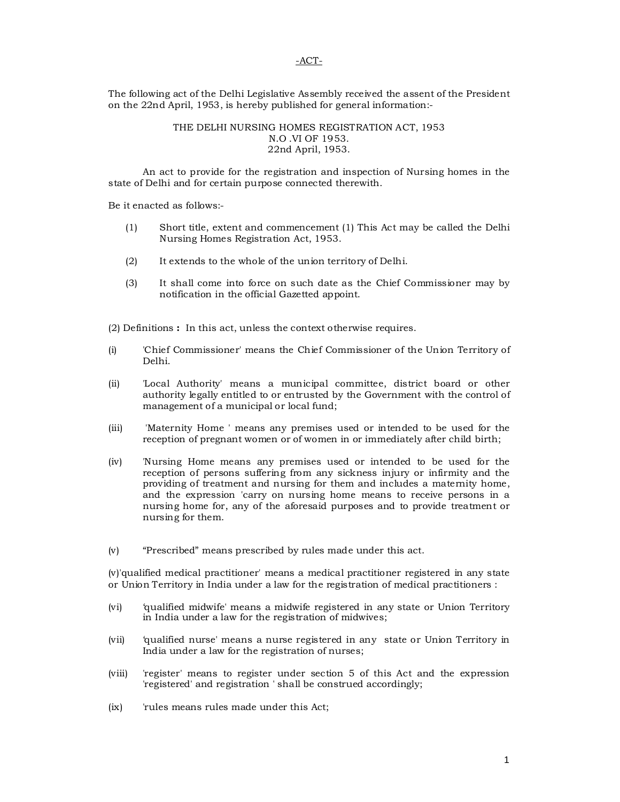#### -ACT-

The following act of the Delhi Legislative Assembly received the assent of the President on the 22nd April, 1953, is hereby published for general information:-

#### THE DELHI NURSING HOMES REGISTRATION ACT, 1953 N.O .VI OF 1953. 22nd April, 1953.

An act to provide for the registration and inspection of Nursing homes in the state of Delhi and for certain purpose connected therewith.

Be it enacted as follows:-

- (1) Short title, extent and commencement (1) This Act may be called the Delhi Nursing Homes Registration Act, 1953.
- (2) It extends to the whole of the union territory of Delhi.
- (3) It shall come into force on such date as the Chief Commissioner may by notification in the official Gazetted appoint.

(2) Definitions **:** In this act, unless the context otherwise requires.

- (i) 'Chief Commissioner' means the Chief Commissioner of the Union Territory of Delhi.
- (ii) 'Local Authority' means a municipal committee, district board or other authority legally entitled to or entrusted by the Government with the control of management of a municipal or local fund;
- (iii) 'Maternity Home ' means any premises used or intended to be used for the reception of pregnant women or of women in or immediately after child birth;
- (iv) 'Nursing Home means any premises used or intended to be used for the reception of persons suffering from any sickness injury or infirmity and the providing of treatment and nursing for them and includes a maternity home, and the expression 'carry on nursing home means to receive persons in a nursing home for, any of the aforesaid purposes and to provide treatment or nursing for them.
- (v) "Prescribed" means prescribed by rules made under this act.

(v)'qualified medical practitioner' means a medical practitioner registered in any state or Union Territory in India under a law for the registration of medical practitioners :

- (vi) 'qualified midwife' means a midwife registered in any state or Union Territory in India under a law for the registration of midwives;
- (vii) 'qualified nurse' means a nurse registered in any state or Union Territory in India under a law for the registration of nurses;
- (viii) 'register' means to register under section 5 of this Act and the expression 'registered' and registration ' shall be construed accordingly;
- (ix) 'rules means rules made under this Act;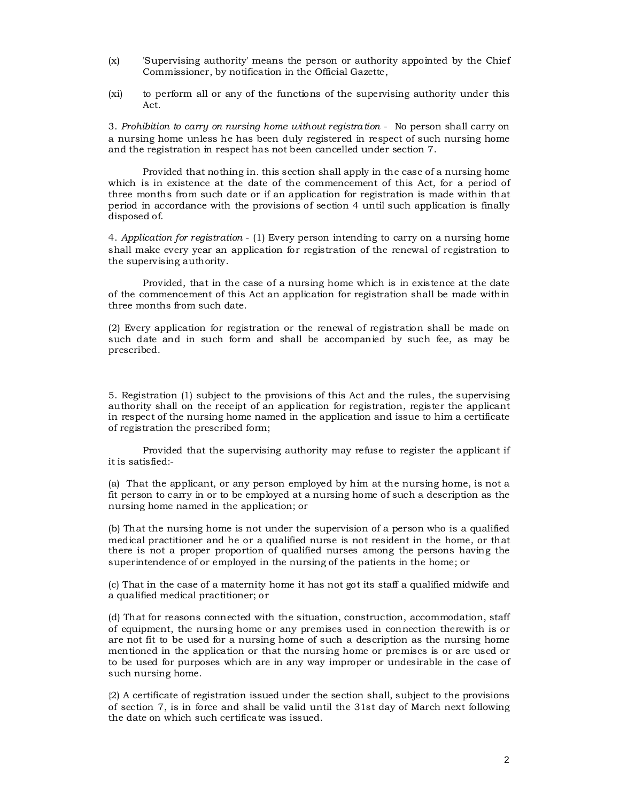- (x) 'Supervising authority' means the person or authority appointed by the Chief Commissioner, by notification in the Official Gazette,
- (xi) to perform all or any of the functions of the supervising authority under this Act.

3. *Prohibition to carry on nursing home without registration* - No person shall carry on a nursing home unless he has been duly registered in respect of such nursing home and the registration in respect has not been cancelled under section 7.

Provided that nothing in. this section shall apply in the case of a nursing home which is in existence at the date of the commencement of this Act, for a period of three months from such date or if an application for registration is made within that period in accordance with the provisions of section 4 until such application is finally disposed of.

4. *Application for registration* - (1) Every person intending to carry on a nursing home shall make every year an application for registration of the renewal of registration to the supervising authority.

Provided, that in the case of a nursing home which is in existence at the date of the commencement of this Act an application for registration shall be made within three months from such date.

(2) Every application for registration or the renewal of registration shall be made on such date and in such form and shall be accompanied by such fee, as may be prescribed.

5. Registration (1) subject to the provisions of this Act and the rules, the supervising authority shall on the receipt of an application for registration, register the applicant in respect of the nursing home named in the application and issue to him a certificate of registration the prescribed form;

Provided that the supervising authority may refuse to register the applicant if it is satisfied:-

(a) That the applicant, or any person employed by him at the nursing home, is not a fit person to carry in or to be employed at a nursing home of such a description as the nursing home named in the application; or

(b) That the nursing home is not under the supervision of a person who is a qualified medical practitioner and he or a qualified nurse is not resident in the home, or that there is not a proper proportion of qualified nurses among the persons having the superintendence of or employed in the nursing of the patients in the home; or

(c) That in the case of a maternity home it has not got its staff a qualified midwife and a qualified medical practitioner; or

(d) That for reasons connected with the situation, construction, accommodation, staff of equipment, the nursing home or any premises used in connection therewith is or are not fit to be used for a nursing home of such a description as the nursing home mentioned in the application or that the nursing home or premises is or are used or to be used for purposes which are in any way improper or undesirable in the case of such nursing home.

{2) A certificate of registration issued under the section shall, subject to the provisions of section 7, is in force and shall be valid until the 31st day of March next following the date on which such certificate was issued.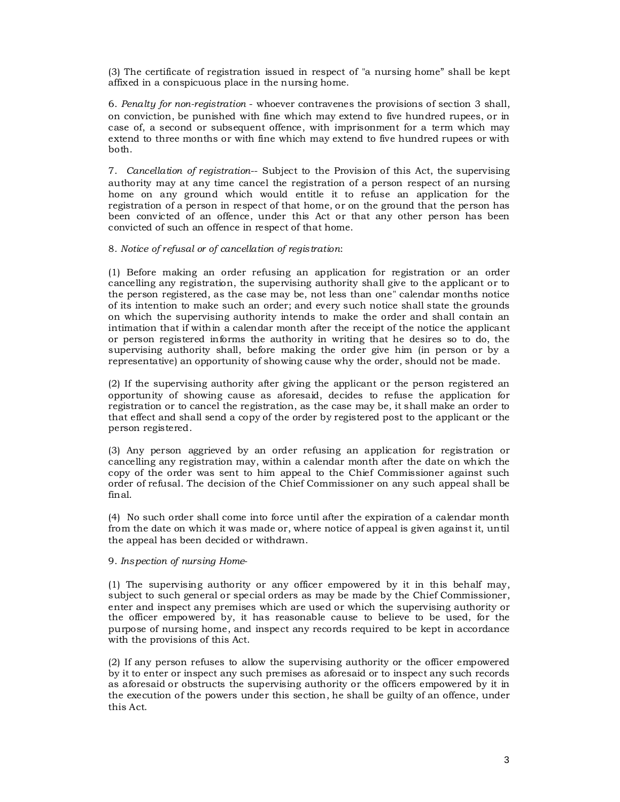(3) The certificate of registration issued in respect of "a nursing home" shall be kept affixed in a conspicuous place in the nursing home.

6. *Penalty for non-registration* - whoever contravenes the provisions of section 3 shall, on conviction, be punished with fine which may extend to five hundred rupees, or in case of, a second or subsequent offence, with imprisonment for a term which may extend to three months or with fine which may extend to five hundred rupees or with both.

7. *Cancellation of registration*-- Subject to the Provision of this Act, the supervising authority may at any time cancel the registration of a person respect of an nursing home on any ground which would entitle it to refuse an application for the registration of a person in respect of that home, or on the ground that the person has been convicted of an offence, under this Act or that any other person has been convicted of such an offence in respect of that home.

8. *Notice of refusal or of cancellation of registration*:

(1) Before making an order refusing an application for registration or an order cancelling any registration, the supervising authority shall give to the applicant or to the person registered, as the case may be, not less than one" calendar months notice of its intention to make such an order; and every such notice shall state the grounds on which the supervising authority intends to make the order and shall contain an intimation that if within a calendar month after the receipt of the notice the applicant or person registered informs the authority in writing that he desires so to do, the supervising authority shall, before making the order give him (in person or by a representative) an opportunity of showing cause why the order, should not be made.

(2) If the supervising authority after giving the applicant or the person registered an opportunity of showing cause as aforesaid, decides to refuse the application for registration or to cancel the registration, as the case may be, it shall make an order to that effect and shall send a copy of the order by registered post to the applicant or the person registered.

(3) Any person aggrieved by an order refusing an application for registration or cancelling any registration may, within a calendar month after the date on which the copy of the order was sent to him appeal to the Chief Commissioner against such order of refusal. The decision of the Chief Commissioner on any such appeal shall be final.

(4) No such order shall come into force until after the expiration of a calendar month from the date on which it was made or, where notice of appeal is given against it, until the appeal has been decided or withdrawn.

#### 9. *Inspection of nursing Home*-

(1) The supervising authority or any officer empowered by it in this behalf may, subject to such general or special orders as may be made by the Chief Commissioner, enter and inspect any premises which are used or which the supervising authority or the officer empowered by, it has reasonable cause to believe to be used, for the purpose of nursing home, and inspect any records required to be kept in accordance with the provisions of this Act.

(2) If any person refuses to allow the supervising authority or the officer empowered by it to enter or inspect any such premises as aforesaid or to inspect any such records as aforesaid or obstructs the supervising authority or the officers empowered by it in the execution of the powers under this section, he shall be guilty of an offence, under this Act.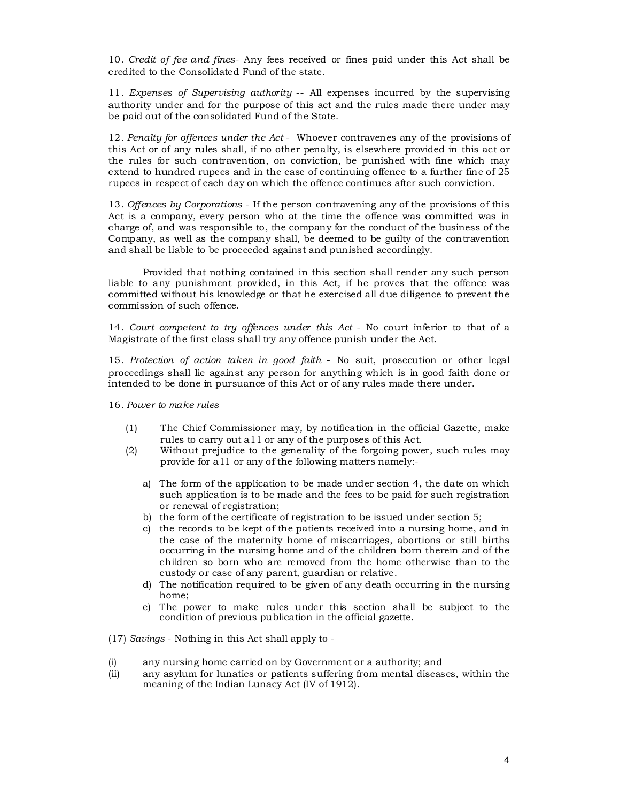10*. Credit of fee and fines*- Any fees received or fines paid under this Act shall be credited to the Consolidated Fund of the state.

11. *Expenses of Supervising authority* -- All expenses incurred by the supervising authority under and for the purpose of this act and the rules made there under may be paid out of the consolidated Fund of the State.

12. *Penalty for offences under the Act* - Whoever contravenes any of the provisions of this Act or of any rules shall, if no other penalty, is elsewhere provided in this act or the rules for such contravention, on conviction, be punished with fine which may extend to hundred rupees and in the case of continuing offence to a further fine of 25 rupees in respect of each day on which the offence continues after such conviction.

13. *Offences by Corporations* - If the person contravening any of the provisions of this Act is a company, every person who at the time the offence was committed was in charge of, and was responsible to, the company for the conduct of the business of the Company, as well as the company shall, be deemed to be guilty of the contravention and shall be liable to be proceeded against and punished accordingly.

Provided that nothing contained in this section shall render any such person liable to any punishment provided, in this Act, if he proves that the offence was committed without his knowledge or that he exercised all due diligence to prevent the commission of such offence.

14. *Court competent to try offences under this Act* - No court inferior to that of a Magistrate of the first class shall try any offence punish under the Act.

15. *Protection of action taken in good faith* - No suit, prosecution or other legal proceedings shall lie against any person for anything which is in good faith done or intended to be done in pursuance of this Act or of any rules made there under.

16. *Power to make rules*

- (1) The Chief Commissioner may, by notification in the official Gazette, make rules to carry out a11 or any of the purposes of this Act.
- (2) Without prejudice to the generality of the forgoing power, such rules may provide for a11 or any of the following matters namely:
	- a) The form of the application to be made under section 4, the date on which such application is to be made and the fees to be paid for such registration or renewal of registration;
	- b) the form of the certificate of registration to be issued under section 5;
	- c) the records to be kept of the patients received into a nursing home, and in the case of the maternity home of miscarriages, abortions or still births occurring in the nursing home and of the children born therein and of the children so born who are removed from the home otherwise than to the custody or case of any parent, guardian or relative.
	- d) The notification required to be given of any death occurring in the nursing home;
	- e) The power to make rules under this section shall be subject to the condition of previous publication in the official gazette.

(17) *Savings* - Nothing in this Act shall apply to -

- (i) any nursing home carried on by Government or a authority; and
- (ii) any asylum for lunatics or patients suffering from mental diseases, within the meaning of the Indian Lunacy Act (IV of 1912).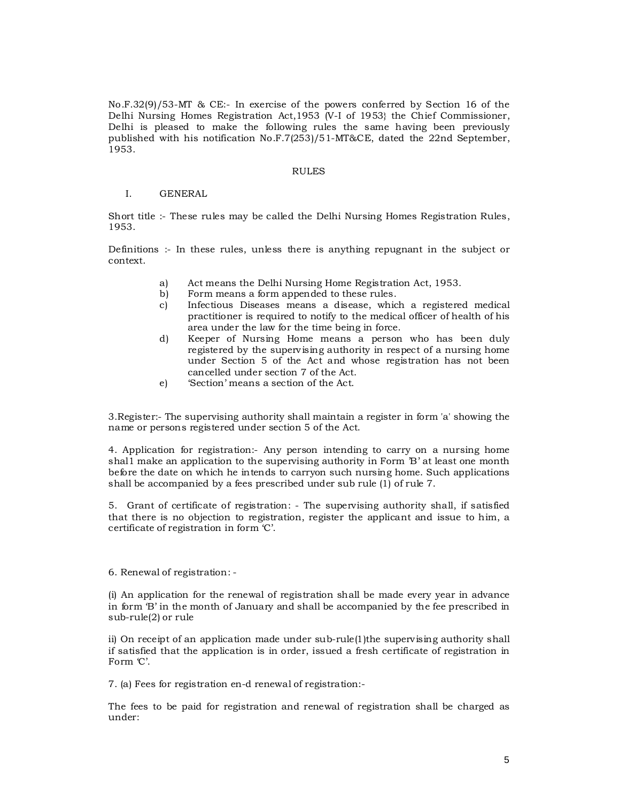No.F.32(9)/53-MT & CE:- In exercise of the powers conferred by Section 16 of the Delhi Nursing Homes Registration Act,1953 (V-I of 1953} the Chief Commissioner, Delhi is pleased to make the following rules the same having been previously published with his notification No.F.7(253)/51-MT&CE, dated the 22nd September, 1953.

#### RULES

#### I. GENERAL

Short title :- These rules may be called the Delhi Nursing Homes Registration Rules, 1953.

Definitions :- In these rules, unless there is anything repugnant in the subject or context.

- a) Act means the Delhi Nursing Home Registration Act, 1953.
- b) Form means a form appended to these rules.
- c) Infectious Diseases means a disease, which a registered medical practitioner is required to notify to the medical officer of health of his area under the law for the time being in force.
- d) Keeper of Nursing Home means a person who has been duly registered by the supervising authority in respect of a nursing home under Section 5 of the Act and whose registration has not been cancelled under section 7 of the Act.
- e) 'Section' means a section of the Act.

3.Register:- The supervising authority shall maintain a register in form 'a' showing the name or persons registered under section 5 of the Act.

4. Application for registration:- Any person intending to carry on a nursing home shal1 make an application to the supervising authority in Form 'B' at least one month before the date on which he intends to carryon such nursing home. Such applications shall be accompanied by a fees prescribed under sub rule (1) of rule 7.

5. Grant of certificate of registration: - The supervising authority shall, if satisfied that there is no objection to registration, register the applicant and issue to him, a certificate of registration in form 'C'.

#### 6. Renewal of registration: -

(i) An application for the renewal of registration shall be made every year in advance in form 'B' in the month of January and shall be accompanied by the fee prescribed in sub-rule(2) or rule

ii) On receipt of an application made under sub-rule(1)the supervising authority shall if satisfied that the application is in order, issued a fresh certificate of registration in Form  $C'$ .

7. (a) Fees for registration en-d renewal of registration:-

The fees to be paid for registration and renewal of registration shall be charged as under: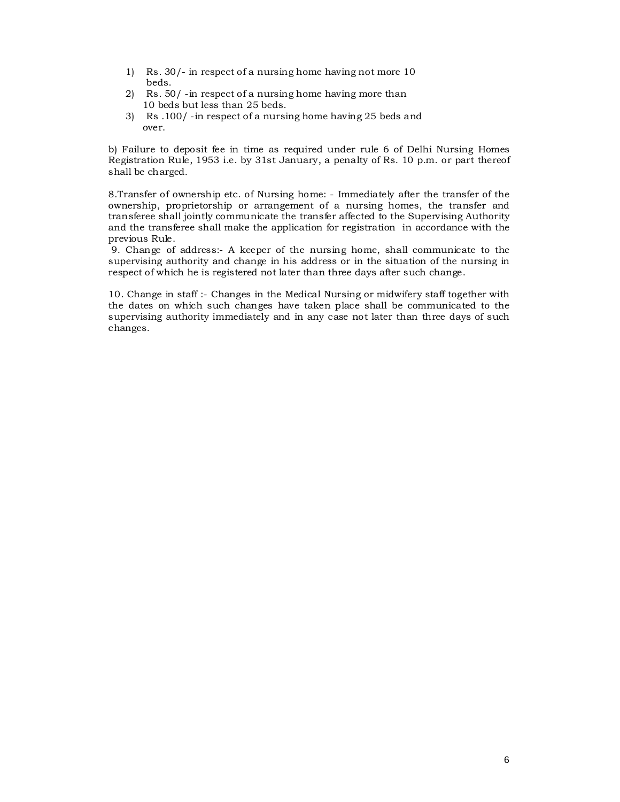- 1) Rs. 30/- in respect of a nursing home having not more 10 beds.
- 2) Rs. 50/ -in respect of a nursing home having more than 10 beds but less than 25 beds.
- 3) Rs .100/ -in respect of a nursing home having 25 beds and over.

b) Failure to deposit fee in time as required under rule 6 of Delhi Nursing Homes Registration Rule, 1953 i.e. by 31st January, a penalty of Rs. 10 p.m. or part thereof shall be charged.

8.Transfer of ownership etc. of Nursing home: - Immediately after the transfer of the ownership, proprietorship or arrangement of a nursing homes, the transfer and transferee shall jointly communicate the transfer affected to the Supervising Authority and the transferee shall make the application for registration in accordance with the previous Rule.

 9. Change of address:- A keeper of the nursing home, shall communicate to the supervising authority and change in his address or in the situation of the nursing in respect of which he is registered not later than three days after such change.

10. Change in staff :- Changes in the Medical Nursing or midwifery staff together with the dates on which such changes have taken place shall be communicated to the supervising authority immediately and in any case not later than three days of such changes.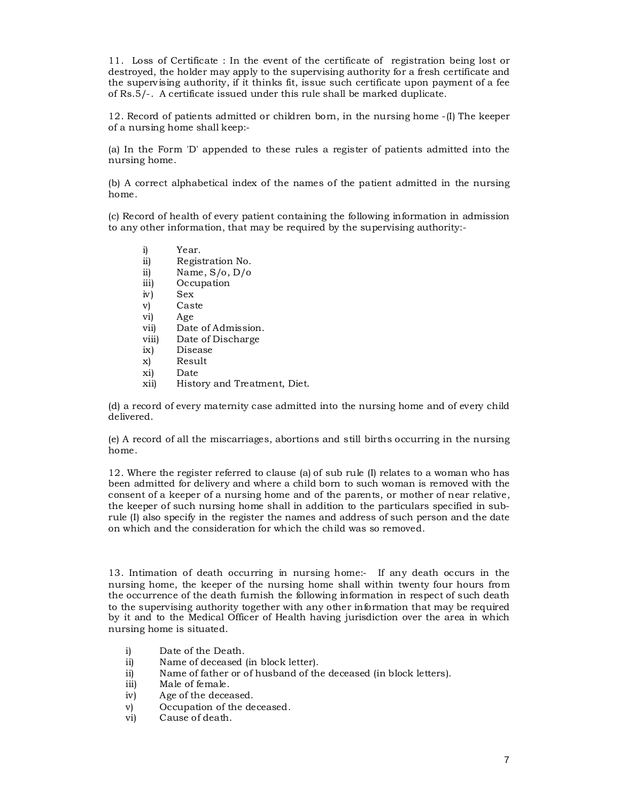11. Loss of Certificate : In the event of the certificate of registration being lost or destroyed, the holder may apply to the supervising authority for a fresh certificate and the supervising authority, if it thinks fit, issue such certificate upon payment of a fee of Rs.5/-. A certificate issued under this rule shall be marked duplicate.

12. Record of patients admitted or children born, in the nursing home -(I) The keeper of a nursing home shall keep:-

(a) In the Form 'D' appended to these rules a register of patients admitted into the nursing home.

(b) A correct alphabetical index of the names of the patient admitted in the nursing home.

(c) Record of health of every patient containing the following information in admission to any other information, that may be required by the supervising authority:-

- i) Year.<br>ii) Regis
- ii) Registration No.<br>ii) Name, S/o, D/o
- Name,  $S/O$ ,  $D/O$
- iii) Occupation<br>iv) Sex
- iv) Sex<br>v) Cas Caste
- vi) Age
- vii) Date of Admission.
- viii) Date of Discharge
- ix) Disease
- x) Result
- xi) Date
- History and Treatment, Diet.

(d) a record of every maternity case admitted into the nursing home and of every child delivered.

(e) A record of all the miscarriages, abortions and still births occurring in the nursing home.

12. Where the register referred to clause (a) of sub rule (I) relates to a woman who has been admitted for delivery and where a child born to such woman is removed with the consent of a keeper of a nursing home and of the parents, or mother of near relative, the keeper of such nursing home shall in addition to the particulars specified in subrule (I) also specify in the register the names and address of such person and the date on which and the consideration for which the child was so removed.

13. Intimation of death occurring in nursing home:- If any death occurs in the nursing home, the keeper of the nursing home shall within twenty four hours from the occurrence of the death furnish the following information in respect of such death to the supervising authority together with any other information that may be required by it and to the Medical Officer of Health having jurisdiction over the area in which nursing home is situated.

- i) Date of the Death.
- ii) Name of deceased (in block letter).
- ii) Name of father or of husband of the deceased (in block letters).
- iii) Male of female.
- iv) Age of the deceased.
- v) Occupation of the deceased.<br>vi) Cause of death.
- Cause of death.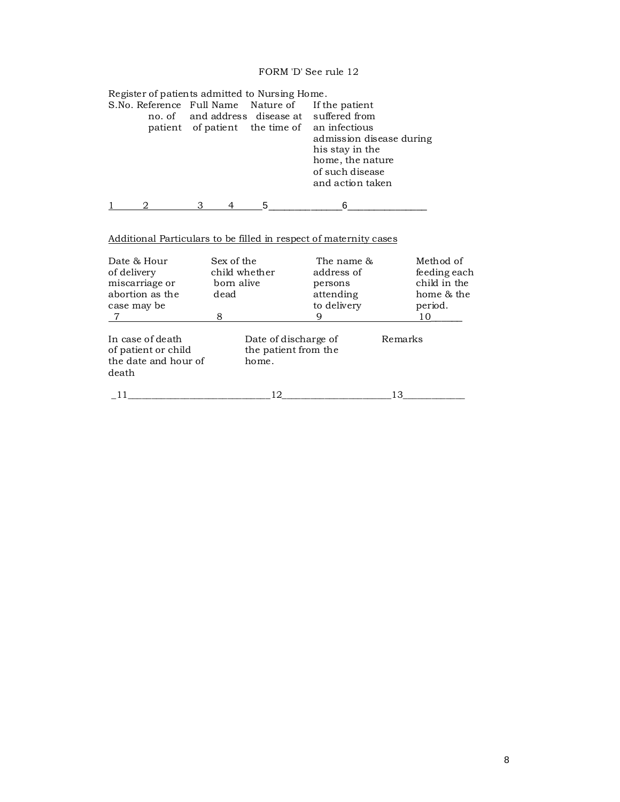# FORM 'D' See rule 12

| Register of patients admitted to Nursing Home. |  |  |                                              |  |
|------------------------------------------------|--|--|----------------------------------------------|--|
| S.No. Reference Full Name Nature of            |  |  | If the patient                               |  |
|                                                |  |  | no. of and address disease at suffered from  |  |
|                                                |  |  | patient of patient the time of an infectious |  |
|                                                |  |  | admission disease during                     |  |
|                                                |  |  | his stay in the                              |  |
|                                                |  |  | home, the nature                             |  |
|                                                |  |  | of such disease                              |  |
|                                                |  |  | and action taken                             |  |
|                                                |  |  |                                              |  |
|                                                |  |  |                                              |  |

# Additional Particulars to be filled in respect of maternity cases

| Date & Hour<br>of delivery<br>miscarriage or<br>abortion as the<br>case may be | Sex of the<br>child whether<br>born alive<br>dead | The name &<br>address of<br>persons<br>attending<br>to delivery | Method of<br>feeding each<br>child in the<br>home & the<br>period. |
|--------------------------------------------------------------------------------|---------------------------------------------------|-----------------------------------------------------------------|--------------------------------------------------------------------|
|                                                                                | 8                                                 | 9                                                               | 10                                                                 |
| In case of death<br>of patient or child<br>the date and hour of<br>death       | home.                                             | Date of discharge of<br>the patient from the                    | Remarks                                                            |
|                                                                                | 12                                                |                                                                 | 13                                                                 |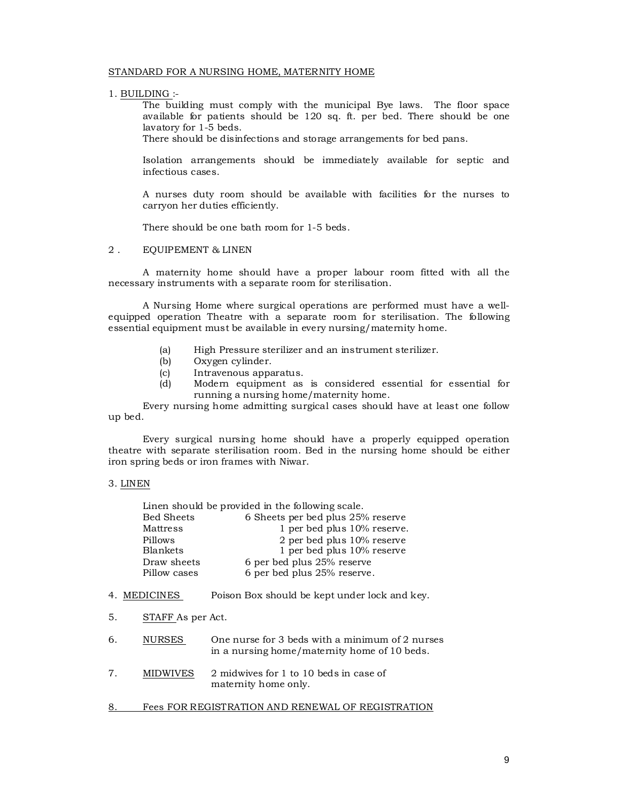#### STANDARD FOR A NURSING HOME, MATERNITY HOME

1. BUILDING :-

The building must comply with the municipal Bye laws. The floor space available for patients should be 120 sq. ft. per bed. There should be one lavatory for 1-5 beds.

There should be disinfections and storage arrangements for bed pans.

Isolation arrangements should be immediately available for septic and infectious cases.

A nurses duty room should be available with facilities for the nurses to carryon her duties efficiently.

There should be one bath room for 1-5 beds.

#### 2 . EQUIPEMENT & LINEN

A maternity home should have a proper labour room fitted with all the necessary instruments with a separate room for sterilisation.

A Nursing Home where surgical operations are performed must have a wellequipped operation Theatre with a separate room for sterilisation. The following essential equipment must be available in every nursing/maternity home.

- (a) High Pressure sterilizer and an instrument sterilizer.
- 
- (b) Oxygen cylinder.<br>(c) Intravenous appa (c) Intravenous apparatus.<br>(d) Modern equipment as
- Modern equipment as is considered essential for essential for running a nursing home/maternity home.

Every nursing home admitting surgical cases should have at least one follow up bed.

Every surgical nursing home should have a properly equipped operation theatre with separate sterilisation room. Bed in the nursing home should be either iron spring beds or iron frames with Niwar.

#### 3. LINEN

| <b>Bed Sheets</b> | 6 Sheets per bed plus 25% reserve             |
|-------------------|-----------------------------------------------|
| Mattress          | 1 per bed plus 10% reserve.                   |
| Pillows           | 2 per bed plus 10% reserve                    |
| <b>Blankets</b>   | 1 per bed plus 10% reserve                    |
| Draw sheets       | 6 per bed plus 25% reserve                    |
| Pillow cases      | 6 per bed plus 25% reserve.                   |
|                   |                                               |
| 4. MEDICINES      | Poison Box should be kept under lock and key. |

Linen should be provided in the following scale.

- 5. STAFF As per Act.
- 6. NURSES One nurse for 3 beds with a minimum of 2 nurses in a nursing home/maternity home of 10 beds.
- 7. MIDWIVES 2 midwives for 1 to 10 beds in case of maternity home only.
- 8. Fees FOR REGISTRATION AND RENEWAL OF REGISTRATION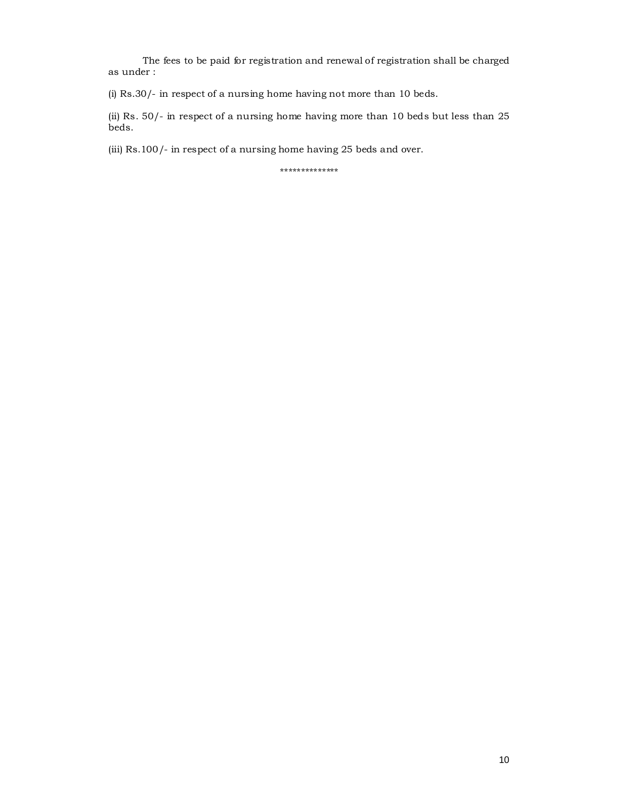The fees to be paid for registration and renewal of registration shall be charged as under :

(i) Rs.30/- in respect of a nursing home having not more than 10 beds.

(ii) Rs. 50/- in respect of a nursing home having more than 10 beds but less than 25 beds.

(iii) Rs.100/- in respect of a nursing home having 25 beds and over.

\*\*\*\*\*\*\*\*\*\*\*\*\*\*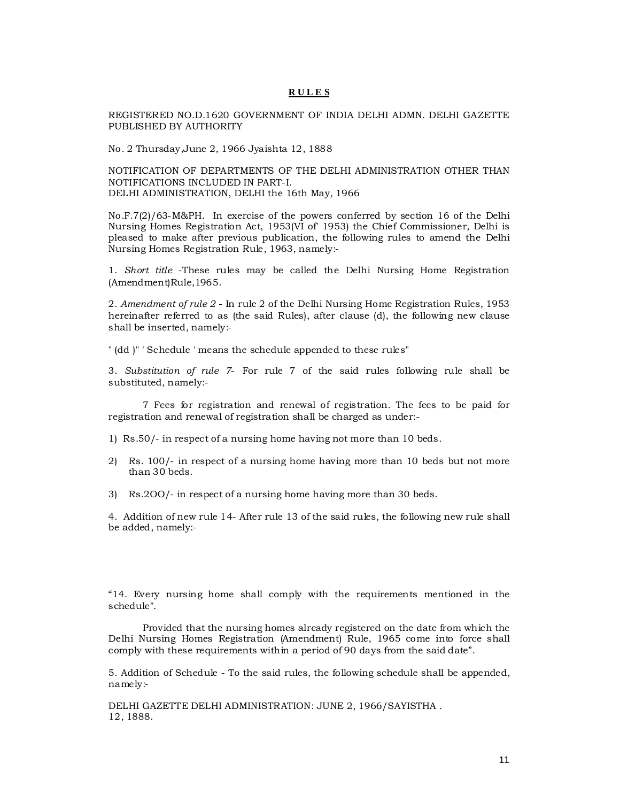## **R U L E S**

REGISTERED NO.D.1620 GOVERNMENT OF INDIA DELHI ADMN. DELHI GAZETTE PUBLISHED BY AUTHORITY

No. 2 Thursday,June 2, 1966 Jyaishta 12, 1888

NOTIFICATION OF DEPARTMENTS OF THE DELHI ADMINISTRATION OTHER THAN NOTIFICATIONS INCLUDED IN PART-I. DELHI ADMINISTRATION, DELHI the 16th May, 1966

No.F.7(2)/63-M&PH. In exercise of the powers conferred by section 16 of the Delhi Nursing Homes Registration Act, 1953(VI of' 1953) the Chief Commissioner, Delhi is pleased to make after previous publication, the following rules to amend the Delhi Nursing Homes Registration Rule, 1963, namely:-

1. *Short title* -These rules may be called the Delhi Nursing Home Registration (Amendment)Rule,1965.

2. *Amendment of rule 2* - In rule 2 of the Delhi Nursing Home Registration Rules, 1953 hereinafter referred to as (the said Rules), after clause (d), the following new clause shall be inserted, namely:-

" (dd )" ' Schedule ' means the schedule appended to these rules"

3. *Substitution of rule 7*- For rule 7 of the said rules following rule shall be substituted, namely:-

7 Fees for registration and renewal of registration. The fees to be paid for registration and renewal of registration shall be charged as under:-

- 1) Rs.50/- in respect of a nursing home having not more than 10 beds.
- 2) Rs. 100/- in respect of a nursing home having more than 10 beds but not more than 30 beds.
- 3) Rs.2OO/- in respect of a nursing home having more than 30 beds.

4. Addition of new rule 14- After rule 13 of the said rules, the following new rule shall be added, namely:-

"14. Every nursing home shall comply with the requirements mentioned in the schedule".

Provided that the nursing homes already registered on the date from which the Delhi Nursing Homes Registration (Amendment) Rule, 1965 come into force shall comply with these requirements within a period of 90 days from the said date".

5. Addition of Schedule - To the said rules, the following schedule shall be appended, namely:-

DELHI GAZETTE DELHI ADMINISTRATION: JUNE 2, 1966/SAYISTHA . 12, 1888.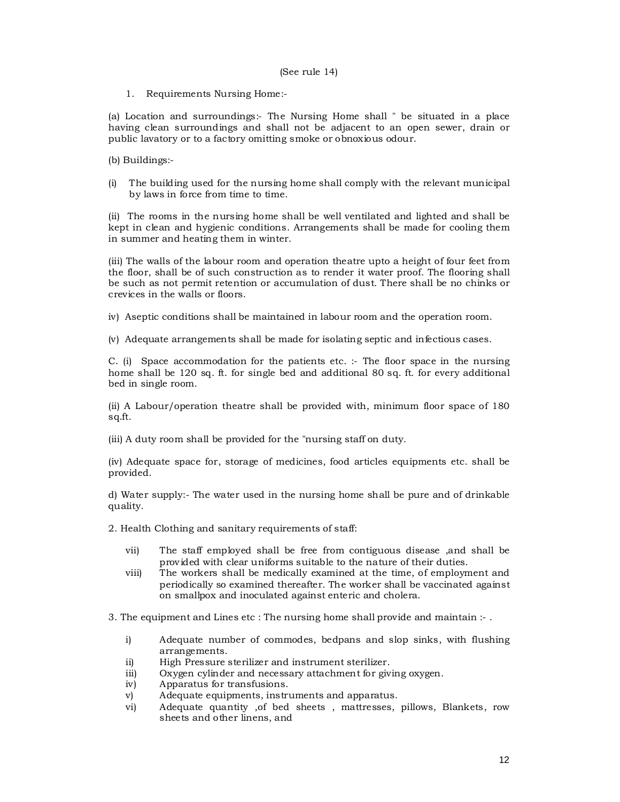#### (See rule 14)

1. Requirements Nursing Home:-

(a) Location and surroundings:- The Nursing Home shall " be situated in a place having clean surroundings and shall not be adjacent to an open sewer, drain or public lavatory or to a factory omitting smoke or obnoxious odour.

(b) Buildings:-

(i) The building used for the nursing home shall comply with the relevant municipal by laws in force from time to time.

(ii) The rooms in the nursing home shall be well ventilated and lighted and shall be kept in clean and hygienic conditions. Arrangements shall be made for cooling them in summer and heating them in winter.

(iii) The walls of the labour room and operation theatre upto a height of four feet from the floor, shall be of such construction as to render it water proof. The flooring shall be such as not permit retention or accumulation of dust. There shall be no chinks or crevices in the walls or floors.

iv) Aseptic conditions shall be maintained in labour room and the operation room.

(v) Adequate arrangements shall be made for isolating septic and infectious cases.

C. (i) Space accommodation for the patients etc. :- The floor space in the nursing home shall be 120 sq. ft. for single bed and additional 80 sq. ft. for every additional bed in single room.

(ii) A Labour/operation theatre shall be provided with, minimum floor space of 180 sq.ft.

(iii) A duty room shall be provided for the "nursing staff on duty.

(iv) Adequate space for, storage of medicines, food articles equipments etc. shall be provided.

d) Water supply:- The water used in the nursing home shall be pure and of drinkable quality.

2. Health Clothing and sanitary requirements of staff:

- vii) The staff employed shall be free from contiguous disease ,and shall be provided with clear uniforms suitable to the nature of their duties.
- viii) The workers shall be medically examined at the time, of employment and periodically so examined thereafter. The worker shall be vaccinated against on smallpox and inoculated against enteric and cholera.

3. The equipment and Lines etc : The nursing home shall provide and maintain :- .

- i) Adequate number of commodes, bedpans and slop sinks, with flushing arrangements.
- ii) High Pressure sterilizer and instrument sterilizer.
- iii) Oxygen cylinder and necessary attachment for giving oxygen.
- iv) Apparatus for transfusions.
- v) Adequate equipments, instruments and apparatus.
- vi) Adequate quantity ,of bed sheets , mattresses, pillows, Blankets, row sheets and other linens, and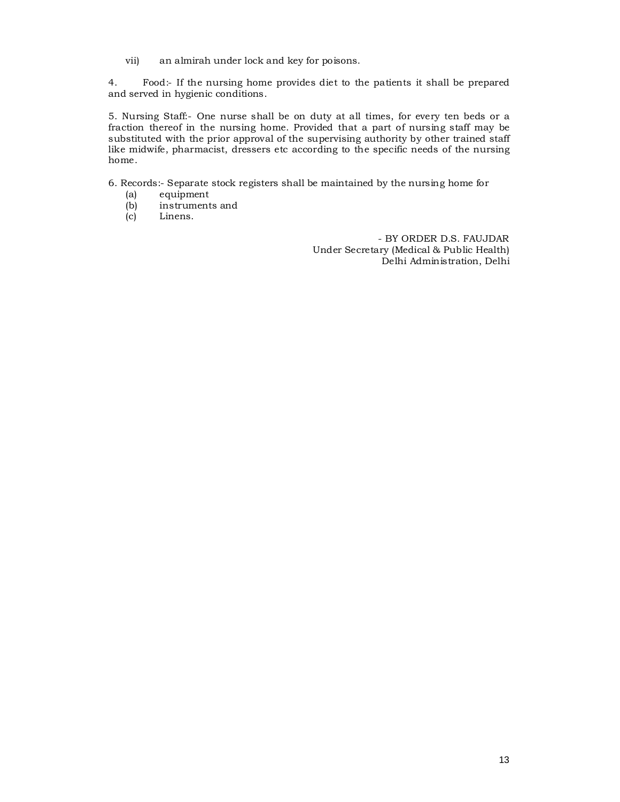vii) an almirah under lock and key for poisons.

4. Food:- If the nursing home provides diet to the patients it shall be prepared and served in hygienic conditions.

5. Nursing Staff:- One nurse shall be on duty at all times, for every ten beds or a fraction thereof in the nursing home. Provided that a part of nursing staff may be substituted with the prior approval of the supervising authority by other trained staff like midwife, pharmacist, dressers etc according to the specific needs of the nursing home.

6. Records:- Separate stock registers shall be maintained by the nursing home for

- (a) equipment<br>(b) instrument
- (b) instruments and<br>(c) Linens.
- Linens.

- BY ORDER D.S. FAUJDAR Under Secretary (Medical & Public Health) Delhi Administration, Delhi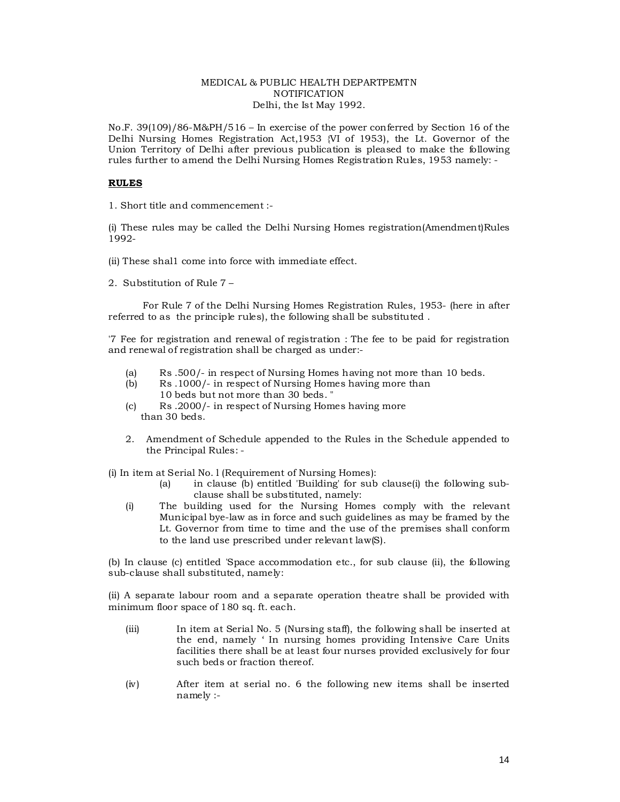#### MEDICAL & PUBLIC HEALTH DEPARTPEMTN **NOTIFICATION** Delhi, the Ist May 1992.

No.F. 39(109)/86-M&PH/516 – In exercise of the power conferred by Section 16 of the Delhi Nursing Homes Registration Act,1953 {VI of 1953), the Lt. Governor of the Union Territory of Delhi after previous publication is pleased to make the following rules further to amend the Delhi Nursing Homes Registration Rules, 1953 namely: -

## **RULES**

1. Short title and commencement :-

(i) These rules may be called the Delhi Nursing Homes registration(Amendment)Rules 1992-

- (ii) These shal1 come into force with immediate effect.
- 2. Substitution of Rule 7 –

For Rule 7 of the Delhi Nursing Homes Registration Rules, 1953- (here in after referred to as the principle rules), the following shall be substituted .

'7 Fee for registration and renewal of registration : The fee to be paid for registration and renewal of registration shall be charged as under:-

- (a) Rs .500/- in respect of Nursing Homes having not more than 10 beds.<br>(b) Rs .1000/- in respect of Nursing Homes having more than
- Rs .1000/- in respect of Nursing Homes having more than 10 beds but not more than 30 beds. "
- (c) Rs .2000/- in respect of Nursing Homes having more than 30 beds.
- 2. Amendment of Schedule appended to the Rules in the Schedule appended to the Principal Rules: -

(i) In item at Serial No. l (Requirement of Nursing Homes):

- (a) in clause (b) entitled 'Building' for sub clause(i) the following subclause shall be substituted, namely:
- (i) The building used for the Nursing Homes comply with the relevant Municipal bye-law as in force and such guidelines as may be framed by the Lt. Governor from time to time and the use of the premises shall conform to the land use prescribed under relevant law(S).

(b) In clause (c) entitled 'Space accommodation etc., for sub clause (ii), the following sub-clause shall substituted, namely:

(ii) A separate labour room and a separate operation theatre shall be provided with minimum floor space of 180 sq. ft. each.

- (iii) In item at Serial No. 5 (Nursing staff), the following shall be inserted at the end, namely ' In nursing homes providing Intensive Care Units facilities there shall be at least four nurses provided exclusively for four such beds or fraction thereof.
- (iv) After item at serial no. 6 the following new items shall be inserted namely :-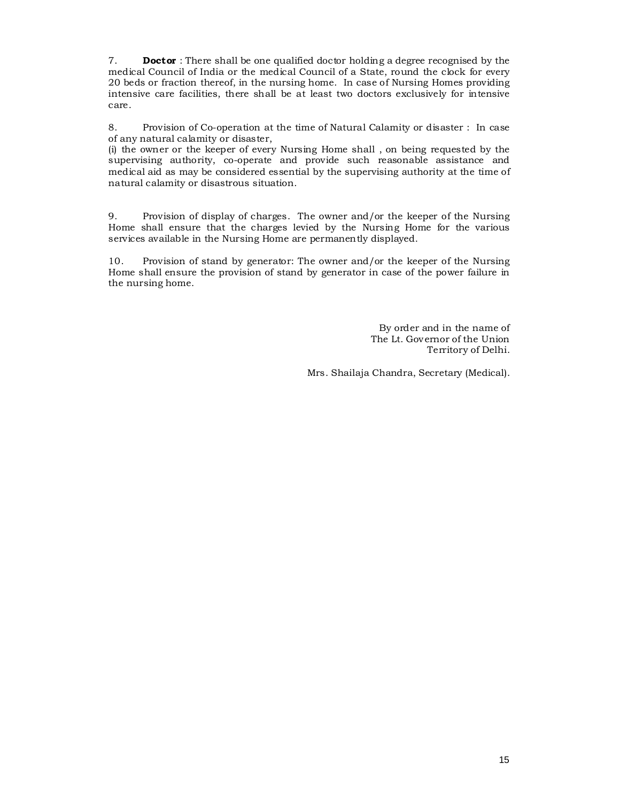7. **Doctor** : There shall be one qualified doctor holding a degree recognised by the medical Council of India or the medical Council of a State, round the clock for every 20 beds or fraction thereof, in the nursing home. In case of Nursing Homes providing intensive care facilities, there shall be at least two doctors exclusively for intensive care.

8. Provision of Co-operation at the time of Natural Calamity or disaster : In case of any natural calamity or disaster,

(i) the owner or the keeper of every Nursing Home shall , on being requested by the supervising authority, co-operate and provide such reasonable assistance and medical aid as may be considered essential by the supervising authority at the time of natural calamity or disastrous situation.

9. Provision of display of charges. The owner and/or the keeper of the Nursing Home shall ensure that the charges levied by the Nursing Home for the various services available in the Nursing Home are permanently displayed.

10. Provision of stand by generator: The owner and/or the keeper of the Nursing Home shall ensure the provision of stand by generator in case of the power failure in the nursing home.

> By order and in the name of The Lt. Governor of the Union Territory of Delhi.

Mrs. Shailaja Chandra, Secretary (Medical).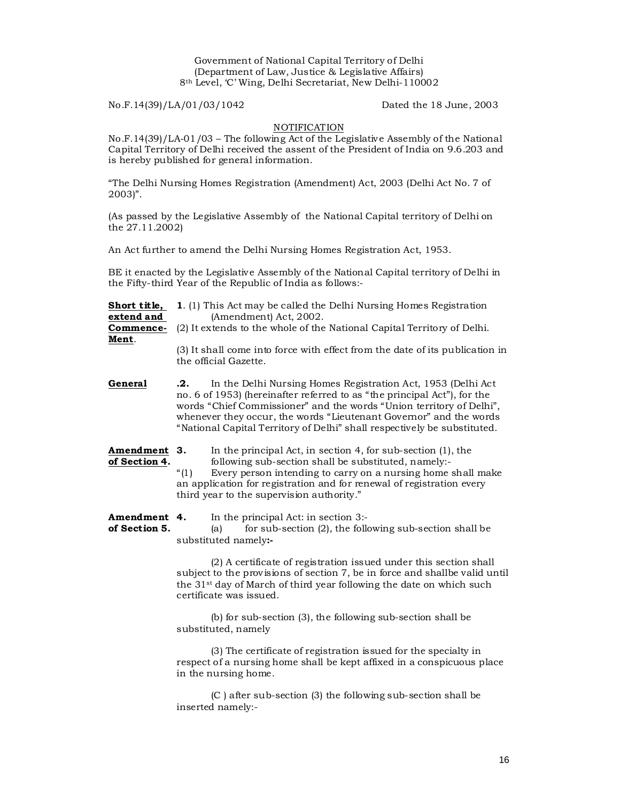Government of National Capital Territory of Delhi (Department of Law, Justice & Legislative Affairs) 8th Level, 'C' Wing, Delhi Secretariat, New Delhi-110002

No.F.14(39)/LA/01/03/1042 Dated the 18 June, 2003

## **NOTIFICATION**

No.F.14(39)/LA-01/03 – The following Act of the Legislative Assembly of the National Capital Territory of Delhi received the assent of the President of India on 9.6.203 and is hereby published for general information.

"The Delhi Nursing Homes Registration (Amendment) Act, 2003 (Delhi Act No. 7 of 2003)".

(As passed by the Legislative Assembly of the National Capital territory of Delhi on the 27.11.2002)

An Act further to amend the Delhi Nursing Homes Registration Act, 1953.

BE it enacted by the Legislative Assembly of the National Capital territory of Delhi in the Fifty-third Year of the Republic of India as follows:-

| Short title, | 1. (1) This Act may be called the Delhi Nursing Homes Registration           |
|--------------|------------------------------------------------------------------------------|
| extend and   | (Amendment) Act, 2002.                                                       |
| Commence-    | (2) It extends to the whole of the National Capital Territory of Delhi.      |
| Ment.        |                                                                              |
|              | (3) It shall come into force with effect from the date of its publication in |
|              | the official Gazette.                                                        |

**General .2.** In the Delhi Nursing Homes Registration Act, 1953 (Delhi Act no. 6 of 1953) (hereinafter referred to as "the principal Act"), for the words "Chief Commissioner" and the words "Union territory of Delhi", whenever they occur, the words "Lieutenant Governor" and the words "National Capital Territory of Delhi" shall respectively be substituted.

**Amendment 3.** In the principal Act, in section 4, for sub-section (1), the of **Section 4.** following sub-section shall be substituted, namely:-

following sub-section shall be substituted, namely:-<br>"(1) Every person intending to carry on a nursing home Every person intending to carry on a nursing home shall make an application for registration and for renewal of registration every third year to the supervision authority."

**Amendment 4.** In the principal Act: in section 3:-<br>**of Section 5.** (a) for sub-section (2), the follo **of Section 5.** (a) for sub-section (2), the following sub-section shall be substituted namely**:-** 

> (2) A certificate of registration issued under this section shall subject to the provisions of section 7, be in force and shallbe valid until the 31st day of March of third year following the date on which such certificate was issued.

(b) for sub-section (3), the following sub-section shall be substituted, namely

(3) The certificate of registration issued for the specialty in respect of a nursing home shall be kept affixed in a conspicuous place in the nursing home.

(C ) after sub-section (3) the following sub-section shall be inserted namely:-